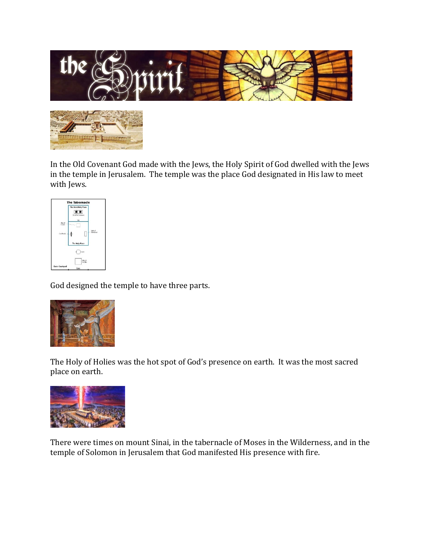

In the Old Covenant God made with the Jews, the Holy Spirit of God dwelled with the Jews in the temple in Jerusalem. The temple was the place God designated in His law to meet with Jews.



God designed the temple to have three parts.



The Holy of Holies was the hot spot of God's presence on earth. It was the most sacred place on earth.



There were times on mount Sinai, in the tabernacle of Moses in the Wilderness, and in the temple of Solomon in Jerusalem that God manifested His presence with fire.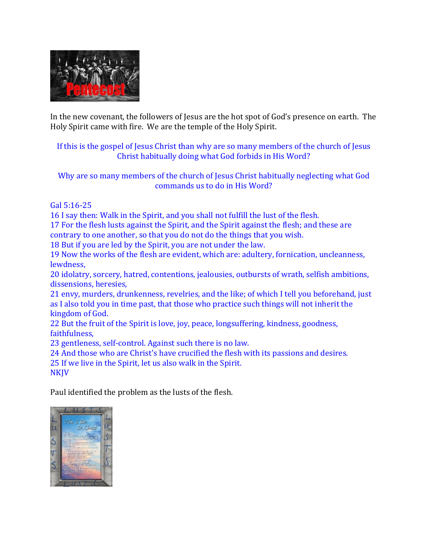

In the new covenant, the followers of Jesus are the hot spot of God's presence on earth. The Holy Spirit came with fire. We are the temple of the Holy Spirit.

# If this is the gospel of Jesus Christ than why are so many members of the church of Jesus Christ habitually doing what God forbids in His Word?

Why are so many members of the church of Jesus Christ habitually neglecting what God commands us to do in His Word?

Gal 5:16-25

16 I say then: Walk in the Spirit, and you shall not fulfill the lust of the flesh.

17 For the flesh lusts against the Spirit, and the Spirit against the flesh; and these are contrary to one another, so that you do not do the things that you wish.

18 But if you are led by the Spirit, you are not under the law.

19 Now the works of the flesh are evident, which are: adultery, fornication, uncleanness, lewdness,

20 idolatry, sorcery, hatred, contentions, jealousies, outbursts of wrath, selfish ambitions, dissensions, heresies,

21 envy, murders, drunkenness, revelries, and the like; of which I tell you beforehand, just as I also told you in time past, that those who practice such things will not inherit the kingdom of God.

22 But the fruit of the Spirit is love, joy, peace, longsuffering, kindness, goodness, faithfulness,

23 gentleness, self-control. Against such there is no law.

24 And those who are Christ's have crucified the flesh with its passions and desires.

25 If we live in the Spirit, let us also walk in the Spirit.

**NKJV** 

Paul identified the problem as the lusts of the flesh.

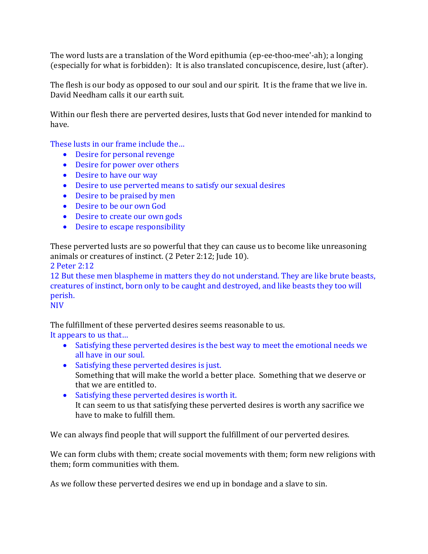The word lusts are a translation of the Word epithumia (ep-ee-thoo-mee'-ah); a longing (especially for what is forbidden): It is also translated concupiscence, desire, lust (after).

The flesh is our body as opposed to our soul and our spirit. It is the frame that we live in. David Needham calls it our earth suit.

Within our flesh there are perverted desires, lusts that God never intended for mankind to have.

These lusts in our frame include the…

- Desire for personal revenge
- Desire for power over others
- Desire to have our way
- Desire to use perverted means to satisfy our sexual desires
- Desire to be praised by men
- Desire to be our own God
- Desire to create our own gods
- Desire to escape responsibility

These perverted lusts are so powerful that they can cause us to become like unreasoning animals or creatures of instinct. (2 Peter 2:12; Jude 10).

2 Peter 2:12

12 But these men blaspheme in matters they do not understand. They are like brute beasts, creatures of instinct, born only to be caught and destroyed, and like beasts they too will perish.

NIV

The fulfillment of these perverted desires seems reasonable to us.

It appears to us that…

- Satisfying these perverted desires is the best way to meet the emotional needs we all have in our soul.
- Satisfying these perverted desires is just. Something that will make the world a better place. Something that we deserve or that we are entitled to.
- Satisfying these perverted desires is worth it. It can seem to us that satisfying these perverted desires is worth any sacrifice we have to make to fulfill them.

We can always find people that will support the fulfillment of our perverted desires.

We can form clubs with them; create social movements with them; form new religions with them; form communities with them.

As we follow these perverted desires we end up in bondage and a slave to sin.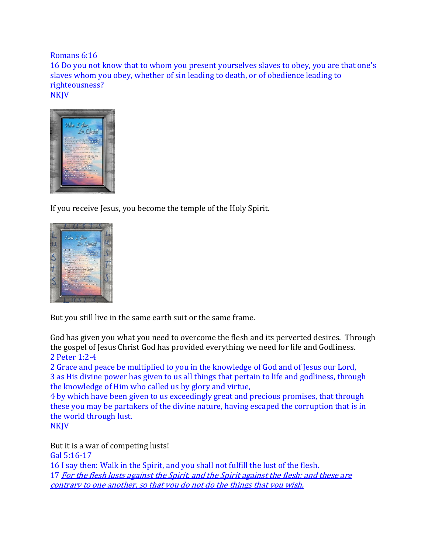Romans 6:16

16 Do you not know that to whom you present yourselves slaves to obey, you are that one's slaves whom you obey, whether of sin leading to death, or of obedience leading to righteousness? NKJV



If you receive Jesus, you become the temple of the Holy Spirit.



But you still live in the same earth suit or the same frame.

God has given you what you need to overcome the flesh and its perverted desires. Through the gospel of Jesus Christ God has provided everything we need for life and Godliness. 2 Peter 1:2-4

2 Grace and peace be multiplied to you in the knowledge of God and of Jesus our Lord, 3 as His divine power has given to us all things that pertain to life and godliness, through the knowledge of Him who called us by glory and virtue,

4 by which have been given to us exceedingly great and precious promises, that through these you may be partakers of the divine nature, having escaped the corruption that is in the world through lust.

**NKJV** 

But it is a war of competing lusts! Gal 5:16-17 16 I say then: Walk in the Spirit, and you shall not fulfill the lust of the flesh. 17 For the flesh lusts against the Spirit, and the Spirit against the flesh; and these are contrary to one another, so that you do not do the things that you wish.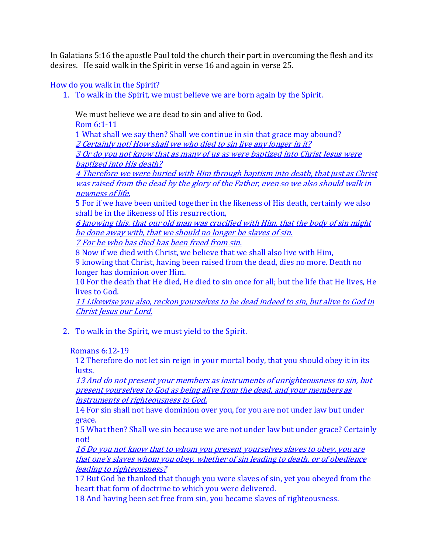In Galatians 5:16 the apostle Paul told the church their part in overcoming the flesh and its desires. He said walk in the Spirit in verse 16 and again in verse 25.

# How do you walk in the Spirit?

1. To walk in the Spirit, we must believe we are born again by the Spirit.

We must believe we are dead to sin and alive to God.

Rom 6:1-11

1 What shall we say then? Shall we continue in sin that grace may abound? 2 Certainly not! How shall we who died to sin live any longer in it?

3 Or do you not know that as many of us as were baptized into Christ Jesus were baptized into His death?

4 Therefore we were buried with Him through baptism into death, that just as Christ was raised from the dead by the glory of the Father, even so we also should walk in newness of life.

5 For if we have been united together in the likeness of His death, certainly we also shall be in the likeness of His resurrection,

6 knowing this, that our old man was crucified with Him, that the body of sin might be done away with, that we should no longer be slaves of sin.

7 For he who has died has been freed from sin.

8 Now if we died with Christ, we believe that we shall also live with Him,

9 knowing that Christ, having been raised from the dead, dies no more. Death no longer has dominion over Him.

10 For the death that He died, He died to sin once for all; but the life that He lives, He lives to God.

11 Likewise you also, reckon yourselves to be dead indeed to sin, but alive to God in Christ Jesus our Lord.

2. To walk in the Spirit, we must yield to the Spirit.

# Romans 6:12-19

12 Therefore do not let sin reign in your mortal body, that you should obey it in its lusts.

13 And do not present your members as instruments of unrighteousness to sin, but present yourselves to God as being alive from the dead, and your members as instruments of righteousness to God.

14 For sin shall not have dominion over you, for you are not under law but under grace.

15 What then? Shall we sin because we are not under law but under grace? Certainly not!

16 Do you not know that to whom you present yourselves slaves to obey, you are that one's slaves whom you obey, whether of sin leading to death, or of obedience leading to righteousness?

17 But God be thanked that though you were slaves of sin, yet you obeyed from the heart that form of doctrine to which you were delivered.

18 And having been set free from sin, you became slaves of righteousness.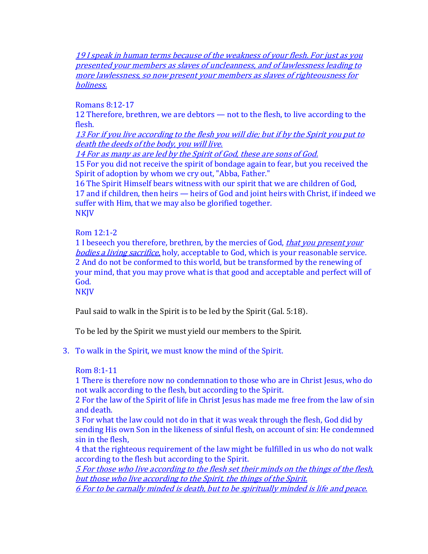19 I speak in human terms because of the weakness of your flesh. For just as you presented your members as slaves of uncleanness, and of lawlessness leading to more lawlessness, so now present your members as slaves of righteousness for holiness.

Romans 8:12-17

12 Therefore, brethren, we are debtors — not to the flesh, to live according to the flesh.

13 For if you live according to the flesh you will die; but if by the Spirit you put to death the deeds of the body, you will live.

14 For as many as are led by the Spirit of God, these are sons of God.

15 For you did not receive the spirit of bondage again to fear, but you received the Spirit of adoption by whom we cry out, "Abba, Father."

16 The Spirit Himself bears witness with our spirit that we are children of God, 17 and if children, then heirs — heirs of God and joint heirs with Christ, if indeed we suffer with Him, that we may also be glorified together. **NKJV** 

## Rom 12:1-2

1 I beseech you therefore, brethren, by the mercies of God, *that you present your* bodies a living sacrifice, holy, acceptable to God, which is your reasonable service. 2 And do not be conformed to this world, but be transformed by the renewing of your mind, that you may prove what is that good and acceptable and perfect will of God.

NKJV

Paul said to walk in the Spirit is to be led by the Spirit (Gal. 5:18).

To be led by the Spirit we must yield our members to the Spirit.

3. To walk in the Spirit, we must know the mind of the Spirit.

# Rom 8:1-11

1 There is therefore now no condemnation to those who are in Christ Jesus, who do not walk according to the flesh, but according to the Spirit.

2 For the law of the Spirit of life in Christ Jesus has made me free from the law of sin and death.

3 For what the law could not do in that it was weak through the flesh, God did by sending His own Son in the likeness of sinful flesh, on account of sin: He condemned sin in the flesh,

4 that the righteous requirement of the law might be fulfilled in us who do not walk according to the flesh but according to the Spirit.

5 For those who live according to the flesh set their minds on the things of the flesh, but those who live according to the Spirit, the things of the Spirit.

6 For to be carnally minded is death, but to be spiritually minded is life and peace.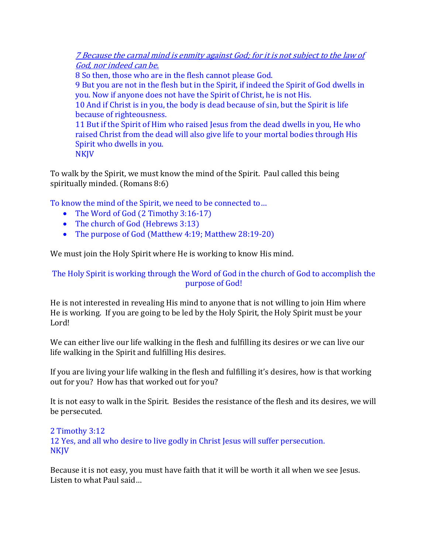7 Because the carnal mind is enmity against God; for it is not subject to the law of God, nor indeed can be.

8 So then, those who are in the flesh cannot please God. 9 But you are not in the flesh but in the Spirit, if indeed the Spirit of God dwells in you. Now if anyone does not have the Spirit of Christ, he is not His. 10 And if Christ is in you, the body is dead because of sin, but the Spirit is life because of righteousness. 11 But if the Spirit of Him who raised Jesus from the dead dwells in you, He who raised Christ from the dead will also give life to your mortal bodies through His Spirit who dwells in you. NKJV

To walk by the Spirit, we must know the mind of the Spirit. Paul called this being spiritually minded. (Romans 8:6)

To know the mind of the Spirit, we need to be connected to…

- The Word of God (2 Timothy 3:16-17)
- The church of God (Hebrews 3:13)
- The purpose of God (Matthew 4:19; Matthew 28:19-20)

We must join the Holy Spirit where He is working to know His mind.

The Holy Spirit is working through the Word of God in the church of God to accomplish the purpose of God!

He is not interested in revealing His mind to anyone that is not willing to join Him where He is working. If you are going to be led by the Holy Spirit, the Holy Spirit must be your Lord!

We can either live our life walking in the flesh and fulfilling its desires or we can live our life walking in the Spirit and fulfilling His desires.

If you are living your life walking in the flesh and fulfilling it's desires, how is that working out for you? How has that worked out for you?

It is not easy to walk in the Spirit. Besides the resistance of the flesh and its desires, we will be persecuted.

2 Timothy 3:12 12 Yes, and all who desire to live godly in Christ Jesus will suffer persecution. **NKJV** 

Because it is not easy, you must have faith that it will be worth it all when we see Jesus. Listen to what Paul said…